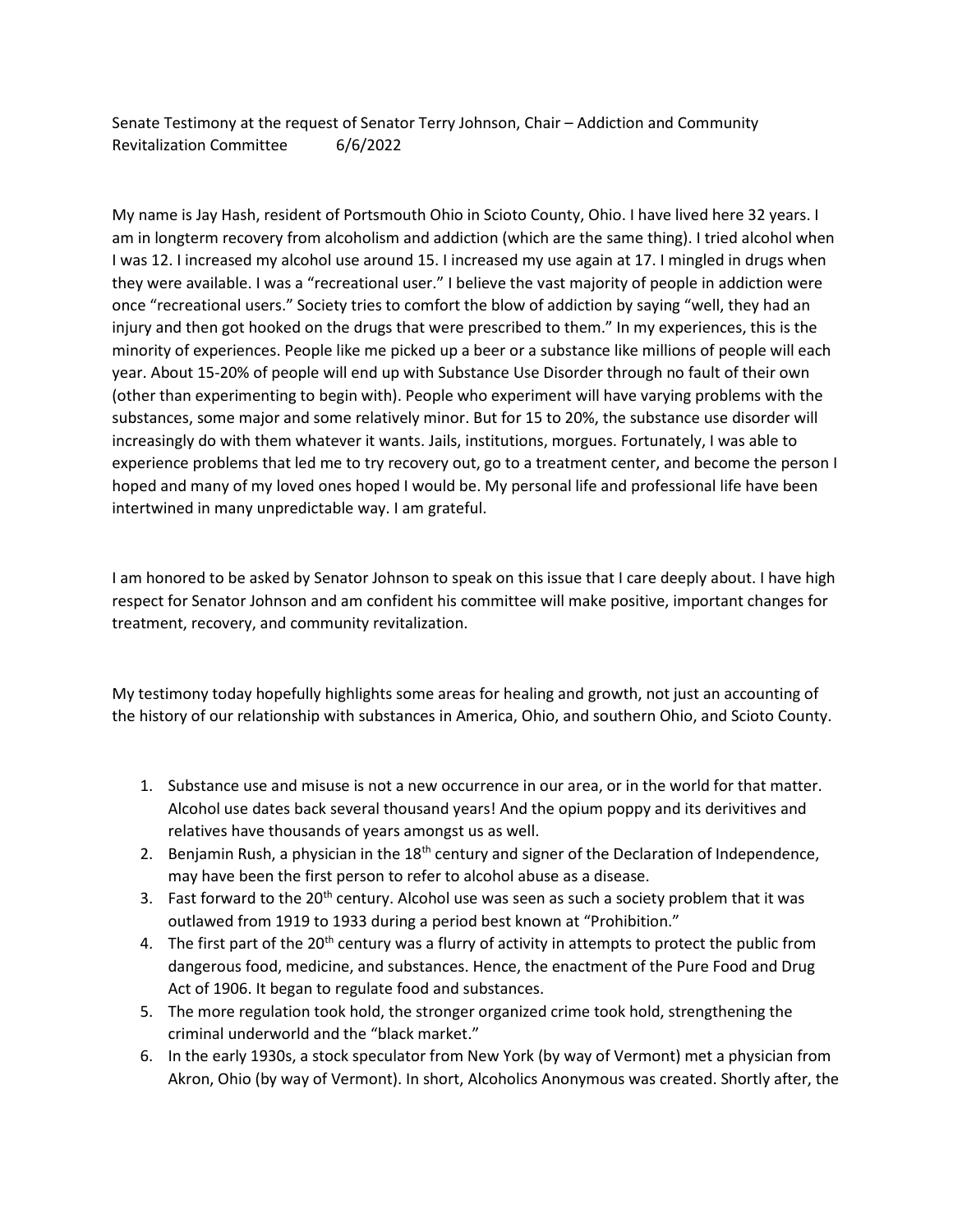Senate Testimony at the request of Senator Terry Johnson, Chair – Addiction and Community Revitalization Committee 6/6/2022

My name is Jay Hash, resident of Portsmouth Ohio in Scioto County, Ohio. I have lived here 32 years. I am in longterm recovery from alcoholism and addiction (which are the same thing). I tried alcohol when I was 12. I increased my alcohol use around 15. I increased my use again at 17. I mingled in drugs when they were available. I was a "recreational user." I believe the vast majority of people in addiction were once "recreational users." Society tries to comfort the blow of addiction by saying "well, they had an injury and then got hooked on the drugs that were prescribed to them." In my experiences, this is the minority of experiences. People like me picked up a beer or a substance like millions of people will each year. About 15-20% of people will end up with Substance Use Disorder through no fault of their own (other than experimenting to begin with). People who experiment will have varying problems with the substances, some major and some relatively minor. But for 15 to 20%, the substance use disorder will increasingly do with them whatever it wants. Jails, institutions, morgues. Fortunately, I was able to experience problems that led me to try recovery out, go to a treatment center, and become the person I hoped and many of my loved ones hoped I would be. My personal life and professional life have been intertwined in many unpredictable way. I am grateful.

I am honored to be asked by Senator Johnson to speak on this issue that I care deeply about. I have high respect for Senator Johnson and am confident his committee will make positive, important changes for treatment, recovery, and community revitalization.

My testimony today hopefully highlights some areas for healing and growth, not just an accounting of the history of our relationship with substances in America, Ohio, and southern Ohio, and Scioto County.

- 1. Substance use and misuse is not a new occurrence in our area, or in the world for that matter. Alcohol use dates back several thousand years! And the opium poppy and its derivitives and relatives have thousands of years amongst us as well.
- 2. Benjamin Rush, a physician in the  $18<sup>th</sup>$  century and signer of the Declaration of Independence, may have been the first person to refer to alcohol abuse as a disease.
- 3. Fast forward to the  $20<sup>th</sup>$  century. Alcohol use was seen as such a society problem that it was outlawed from 1919 to 1933 during a period best known at "Prohibition."
- 4. The first part of the  $20<sup>th</sup>$  century was a flurry of activity in attempts to protect the public from dangerous food, medicine, and substances. Hence, the enactment of the Pure Food and Drug Act of 1906. It began to regulate food and substances.
- 5. The more regulation took hold, the stronger organized crime took hold, strengthening the criminal underworld and the "black market."
- 6. In the early 1930s, a stock speculator from New York (by way of Vermont) met a physician from Akron, Ohio (by way of Vermont). In short, Alcoholics Anonymous was created. Shortly after, the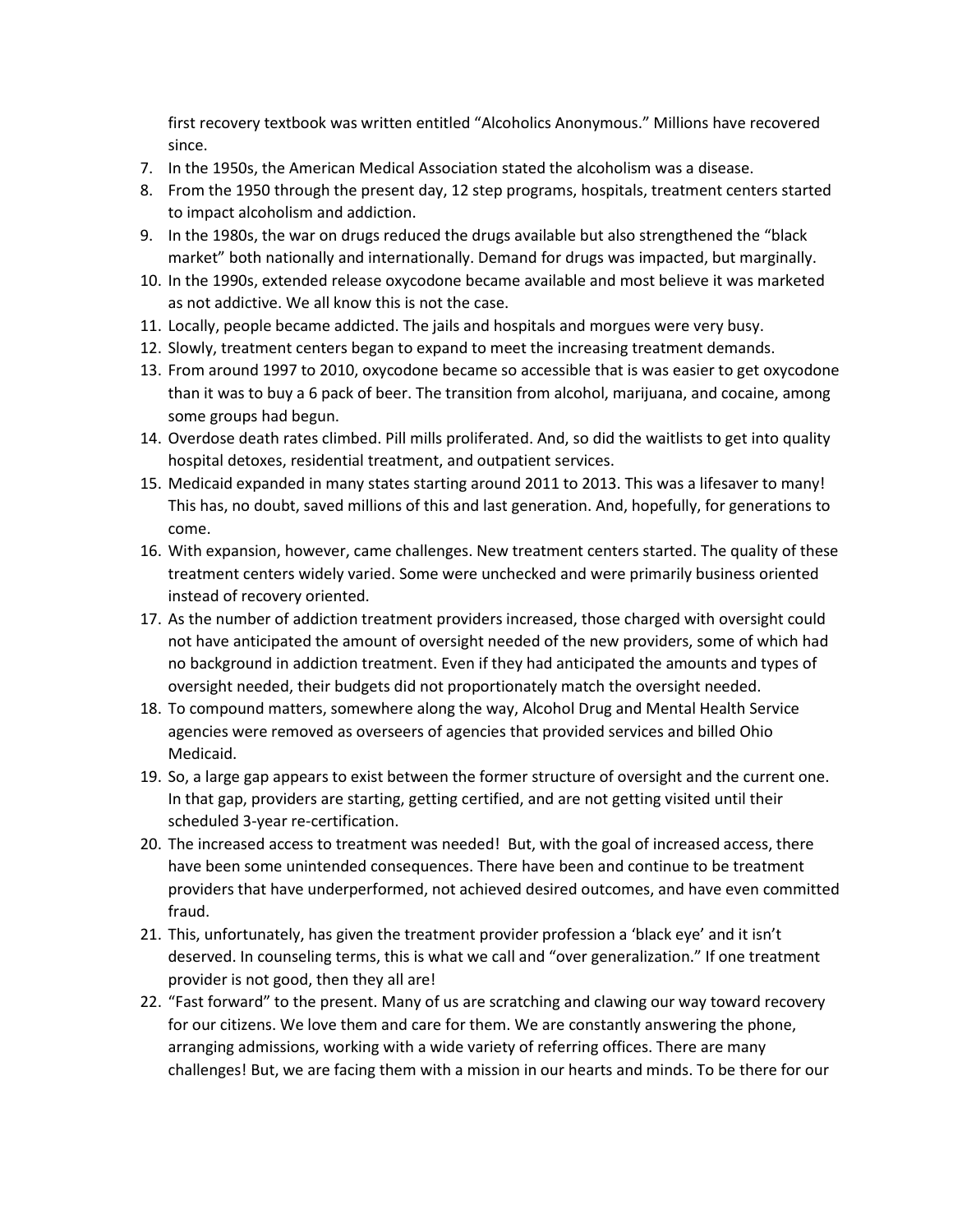first recovery textbook was written entitled "Alcoholics Anonymous." Millions have recovered since.

- 7. In the 1950s, the American Medical Association stated the alcoholism was a disease.
- 8. From the 1950 through the present day, 12 step programs, hospitals, treatment centers started to impact alcoholism and addiction.
- 9. In the 1980s, the war on drugs reduced the drugs available but also strengthened the "black market" both nationally and internationally. Demand for drugs was impacted, but marginally.
- 10. In the 1990s, extended release oxycodone became available and most believe it was marketed as not addictive. We all know this is not the case.
- 11. Locally, people became addicted. The jails and hospitals and morgues were very busy.
- 12. Slowly, treatment centers began to expand to meet the increasing treatment demands.
- 13. From around 1997 to 2010, oxycodone became so accessible that is was easier to get oxycodone than it was to buy a 6 pack of beer. The transition from alcohol, marijuana, and cocaine, among some groups had begun.
- 14. Overdose death rates climbed. Pill mills proliferated. And, so did the waitlists to get into quality hospital detoxes, residential treatment, and outpatient services.
- 15. Medicaid expanded in many states starting around 2011 to 2013. This was a lifesaver to many! This has, no doubt, saved millions of this and last generation. And, hopefully, for generations to come.
- 16. With expansion, however, came challenges. New treatment centers started. The quality of these treatment centers widely varied. Some were unchecked and were primarily business oriented instead of recovery oriented.
- 17. As the number of addiction treatment providers increased, those charged with oversight could not have anticipated the amount of oversight needed of the new providers, some of which had no background in addiction treatment. Even if they had anticipated the amounts and types of oversight needed, their budgets did not proportionately match the oversight needed.
- 18. To compound matters, somewhere along the way, Alcohol Drug and Mental Health Service agencies were removed as overseers of agencies that provided services and billed Ohio Medicaid.
- 19. So, a large gap appears to exist between the former structure of oversight and the current one. In that gap, providers are starting, getting certified, and are not getting visited until their scheduled 3-year re-certification.
- 20. The increased access to treatment was needed! But, with the goal of increased access, there have been some unintended consequences. There have been and continue to be treatment providers that have underperformed, not achieved desired outcomes, and have even committed fraud.
- 21. This, unfortunately, has given the treatment provider profession a 'black eye' and it isn't deserved. In counseling terms, this is what we call and "over generalization." If one treatment provider is not good, then they all are!
- 22. "Fast forward" to the present. Many of us are scratching and clawing our way toward recovery for our citizens. We love them and care for them. We are constantly answering the phone, arranging admissions, working with a wide variety of referring offices. There are many challenges! But, we are facing them with a mission in our hearts and minds. To be there for our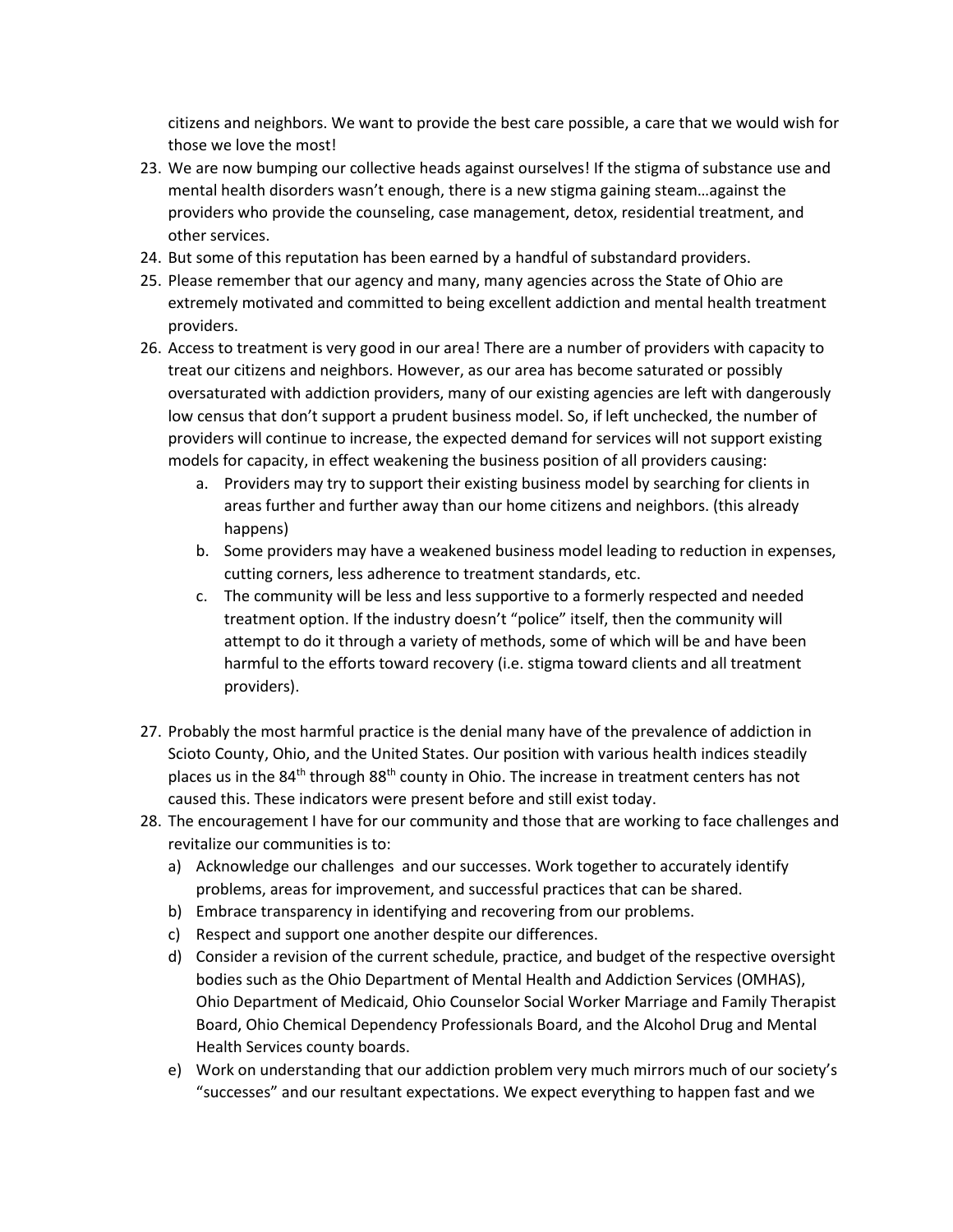citizens and neighbors. We want to provide the best care possible, a care that we would wish for those we love the most!

- 23. We are now bumping our collective heads against ourselves! If the stigma of substance use and mental health disorders wasn't enough, there is a new stigma gaining steam…against the providers who provide the counseling, case management, detox, residential treatment, and other services.
- 24. But some of this reputation has been earned by a handful of substandard providers.
- 25. Please remember that our agency and many, many agencies across the State of Ohio are extremely motivated and committed to being excellent addiction and mental health treatment providers.
- 26. Access to treatment is very good in our area! There are a number of providers with capacity to treat our citizens and neighbors. However, as our area has become saturated or possibly oversaturated with addiction providers, many of our existing agencies are left with dangerously low census that don't support a prudent business model. So, if left unchecked, the number of providers will continue to increase, the expected demand for services will not support existing models for capacity, in effect weakening the business position of all providers causing:
	- a. Providers may try to support their existing business model by searching for clients in areas further and further away than our home citizens and neighbors. (this already happens)
	- b. Some providers may have a weakened business model leading to reduction in expenses, cutting corners, less adherence to treatment standards, etc.
	- c. The community will be less and less supportive to a formerly respected and needed treatment option. If the industry doesn't "police" itself, then the community will attempt to do it through a variety of methods, some of which will be and have been harmful to the efforts toward recovery (i.e. stigma toward clients and all treatment providers).
- 27. Probably the most harmful practice is the denial many have of the prevalence of addiction in Scioto County, Ohio, and the United States. Our position with various health indices steadily places us in the  $84<sup>th</sup>$  through  $88<sup>th</sup>$  county in Ohio. The increase in treatment centers has not caused this. These indicators were present before and still exist today.
- 28. The encouragement I have for our community and those that are working to face challenges and revitalize our communities is to:
	- a) Acknowledge our challenges and our successes. Work together to accurately identify problems, areas for improvement, and successful practices that can be shared.
	- b) Embrace transparency in identifying and recovering from our problems.
	- c) Respect and support one another despite our differences.
	- d) Consider a revision of the current schedule, practice, and budget of the respective oversight bodies such as the Ohio Department of Mental Health and Addiction Services (OMHAS), Ohio Department of Medicaid, Ohio Counselor Social Worker Marriage and Family Therapist Board, Ohio Chemical Dependency Professionals Board, and the Alcohol Drug and Mental Health Services county boards.
	- e) Work on understanding that our addiction problem very much mirrors much of our society's "successes" and our resultant expectations. We expect everything to happen fast and we